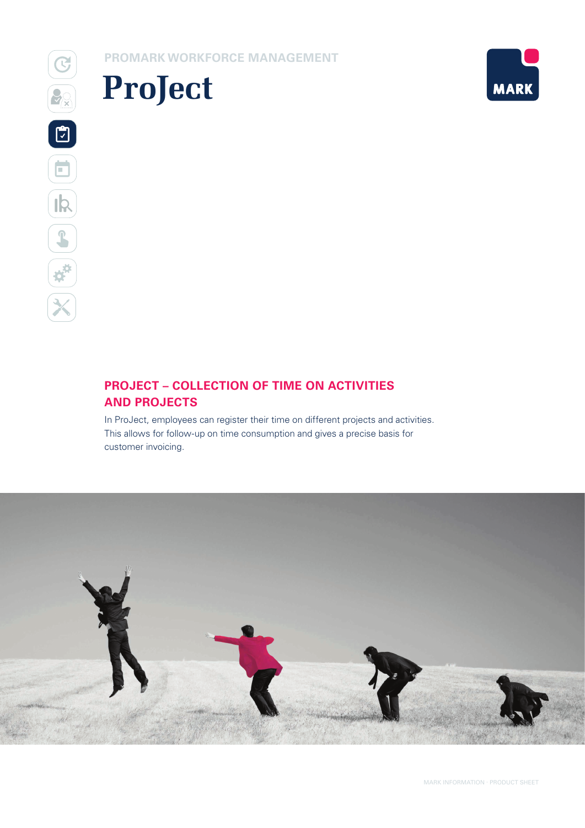**PROMARK WORKFORCE MANAGEMENT**





### **PROJECT – COLLECTION OF TIME ON ACTIVITIES AND PROJECTS**

In ProJect, employees can register their time on different projects and activities. This allows for follow-up on time consumption and gives a precise basis for customer invoicing.

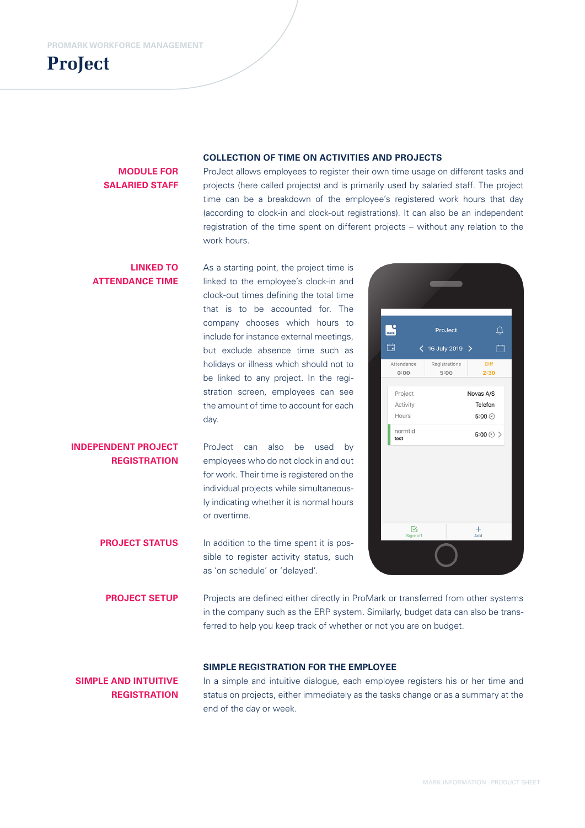

### **MODULE FOR SALARIED STAFF**

### **COLLECTION OF TIME ON ACTIVITIES AND PROJECTS**

ProJect allows employees to register their own time usage on different tasks and projects (here called projects) and is primarily used by salaried staff. The project time can be a breakdown of the employee's registered work hours that day (according to clock-in and clock-out registrations). It can also be an independent registration of the time spent on different projects – without any relation to the work hours.

#### **LINKED TO**  As a starting point, the project time is **ATTENDANCE TIME** linked to the employee's clock-in and clock-out times defining the total time that is to be accounted for. The company chooses which hours to **MARK** ProJect include for instance external meetings, 自  $\langle$  16 July 2019 > but exclude absence time such as holidays or illness which should not to Attendance  $0:00$  $5:00$ be linked to any project. In the registration screen, employees can see Project the amount of time to account for each Activity Hours day. normtid test **INDEPENDENT PROJECT**  ProJect can also be used by **REGISTRATION** employees who do not clock in and out

for work. Their time is registered on the individual projects while simultaneously indicating whether it is normal hours or overtime.

In addition to the time spent it is possible to register activity status, such as 'on schedule' or 'delayed'. **PROJECT STATUS**

Registrations nie  $2:30$ Novas A/S Telefon  $5:00$  $5:00(2)$  $\boxtimes$  $\frac{+}{4}$ 

 $\triangle$ 

自

Projects are defined either directly in ProMark or transferred from other systems in the company such as the ERP system. Similarly, budget data can also be transferred to help you keep track of whether or not you are on budget. **PROJECT SETUP**

### **SIMPLE REGISTRATION FOR THE EMPLOYEE**

**SIMPLE AND INTUITIVE REGISTRATION**

In a simple and intuitive dialogue, each employee registers his or her time and status on projects, either immediately as the tasks change or as a summary at the end of the day or week.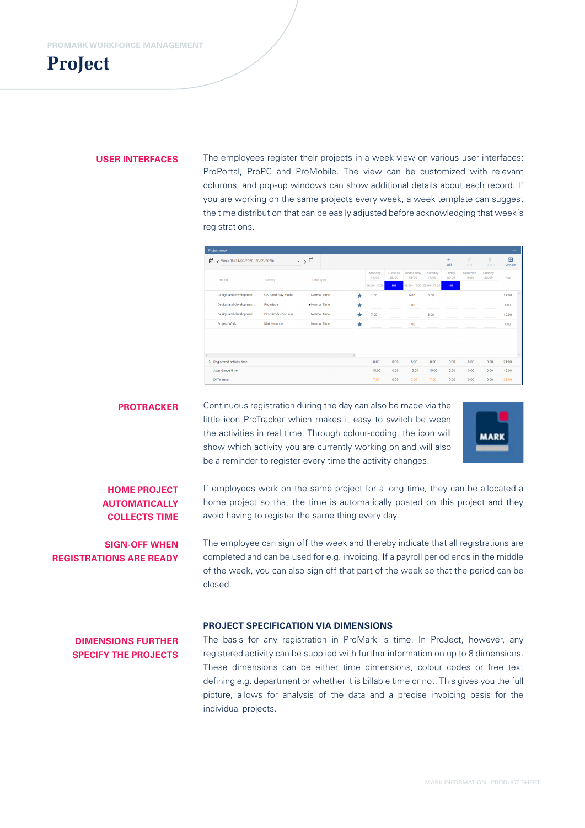## **ProJect**

### **USER INTERFACES**

The employees register their projects in a week view on various user interfaces: ProPortal, ProPC and ProMobile. The view can be customized with relevant columns, and pop-up windows can show additional details about each record. If you are working on the same projects every week, a week template can suggest the time distribution that can be easily adjusted before acknowledging that week's registrations.

|   | <b>Project week</b>                 |                              |              |         |                                    |                        |                    |                                                  |                       |                   |                     | $\cdots$                   |
|---|-------------------------------------|------------------------------|--------------|---------|------------------------------------|------------------------|--------------------|--------------------------------------------------|-----------------------|-------------------|---------------------|----------------------------|
| ▣ | ◆ Week 38 (14/09/2020 - 20/09/2020) | $\cdot$ $\rightarrow$ $\Box$ |              |         |                                    |                        |                    |                                                  | $\ddot{}$<br>Add      | ¥.<br><b>Edit</b> | π<br><b>Ilolete</b> | $\overline{P}$<br>Sign-off |
|   | Project                             | Activity                     | Time type    |         | Monday<br>14/09<br>$09:00 - 17:00$ | Tuesday<br>15/09<br>HH | Wednesday<br>16/09 | Thursday<br>17/09<br>09:00 - 17:00 09:00 - 17:00 | Friday<br>18/09<br>HH | Saturday<br>19/09 | Sunday<br>20/09     | Total                      |
|   | Design and development              | CAD and clay model           | Normal Time  | $\star$ | 1:00                               |                        | 6:00               | 5:00                                             |                       |                   |                     | 12:00                      |
|   | Design and development              | Prototype                    | ·Normal Time | $\star$ |                                    |                        | 1:00               |                                                  |                       |                   |                     | 1:00                       |
|   | Design and development              | <b>First Production run</b>  | Normal Time  | $\star$ | 7:00                               |                        |                    | 3:00                                             |                       |                   |                     | 10:00                      |
|   | Project Work                        | Maintenance                  | Normal Time  | $\star$ |                                    |                        | 1:00               |                                                  |                       |                   |                     | 1:00                       |
|   |                                     |                              |              |         |                                    |                        |                    |                                                  |                       |                   |                     |                            |
|   | > Registered activity time          |                              |              |         | 8:00                               | 0:00                   | 8:00               | 8:00                                             | 0:00                  | 0:00              | 0:00                | 24:00                      |
|   | Attendance time                     |                              |              |         | 15:00                              | 0:00                   | 15:00              | 15:00                                            | 0:00                  | 0:00              | 0:00                | 45:00                      |
|   | <b>Difference</b>                   |                              |              |         | 7:00                               | 0:00                   | 7:00               | 7:00                                             | 0:00                  | 0:00              | 0:00                | 21:00                      |

Continuous registration during the day can also be made via the little icon ProTracker which makes it easy to switch between the activities in real time. Through colour-coding, the icon will show which activity you are currently working on and will also be a reminder to register every time the activity changes. **PROTRACKER**



### **HOME PROJECT AUTOMATICALLY COLLECTS TIME**

**SIGN-OFF WHEN REGISTRATIONS ARE READY** If employees work on the same project for a long time, they can be allocated a home project so that the time is automatically posted on this project and they avoid having to register the same thing every day.

The employee can sign off the week and thereby indicate that all registrations are completed and can be used for e.g. invoicing. If a payroll period ends in the middle of the week, you can also sign off that part of the week so that the period can be closed.

#### **PROJECT SPECIFICATION VIA DIMENSIONS**

### **DIMENSIONS FURTHER SPECIFY THE PROJECTS**

The basis for any registration in ProMark is time. In ProJect, however, any registered activity can be supplied with further information on up to 8 dimensions. These dimensions can be either time dimensions, colour codes or free text defining e.g. department or whether it is billable time or not. This gives you the full picture, allows for analysis of the data and a precise invoicing basis for the individual projects.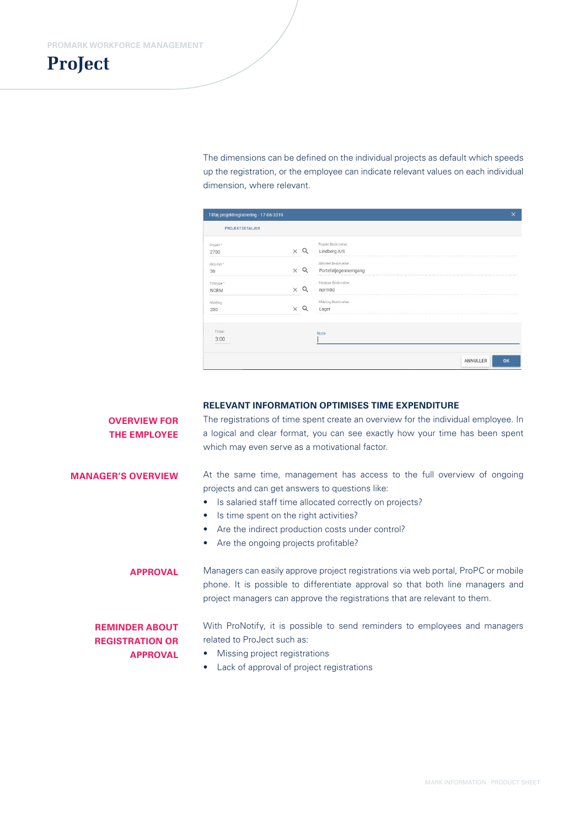# **ProJect**

The dimensions can be defined on the individual projects as default which speeds up the registration, or the employee can indicate relevant values on each individual dimension, where relevant.

| Tilføj projektregistrering - 17-06-2019 |            |                                                | ×              |
|-----------------------------------------|------------|------------------------------------------------|----------------|
| <b>PROJEKTDETALJER</b>                  |            |                                                |                |
| Projekt <sup>*</sup><br>2700            | $\times$ Q | Projekt Beskrivelse:<br>Lindberg A/S           |                |
| Aktivitet*<br>30                        | $\times$ Q | Aktivitet Beskrivelse:<br>Porteføljegennemgang |                |
| Tidstype *<br><b>NORM</b>               | O          | Tidstype Beskrivelse:<br>normtid               |                |
| Afdeling<br>200                         |            | Afdeling Beskrivelse:<br>Lager                 |                |
| Timer<br>3:00                           |            | Note                                           |                |
|                                         |            |                                                | ANNULLER<br>OK |

### **RELEVANT INFORMATION OPTIMISES TIME EXPENDITURE**

The registrations of time spent create an overview for the individual employee. In a logical and clear format, you can see exactly how your time has been spent which may even serve as a motivational factor. **OVERVIEW FOR THE EMPLOYEE**

### **MANAGER'S OVERVIEW**

At the same time, management has access to the full overview of ongoing projects and can get answers to questions like:

- Is salaried staff time allocated correctly on projects?
- Is time spent on the right activities?
- Are the indirect production costs under control?
- Are the ongoing projects profitable?

Managers can easily approve project registrations via web portal, ProPC or mobile phone. It is possible to differentiate approval so that both line managers and project managers can approve the registrations that are relevant to them. **APPROVAL**

### **REMINDER ABOUT REGISTRATION OR APPROVAL**

With ProNotify, it is possible to send reminders to employees and managers related to ProJect such as:

- Missing project registrations
- Lack of approval of project registrations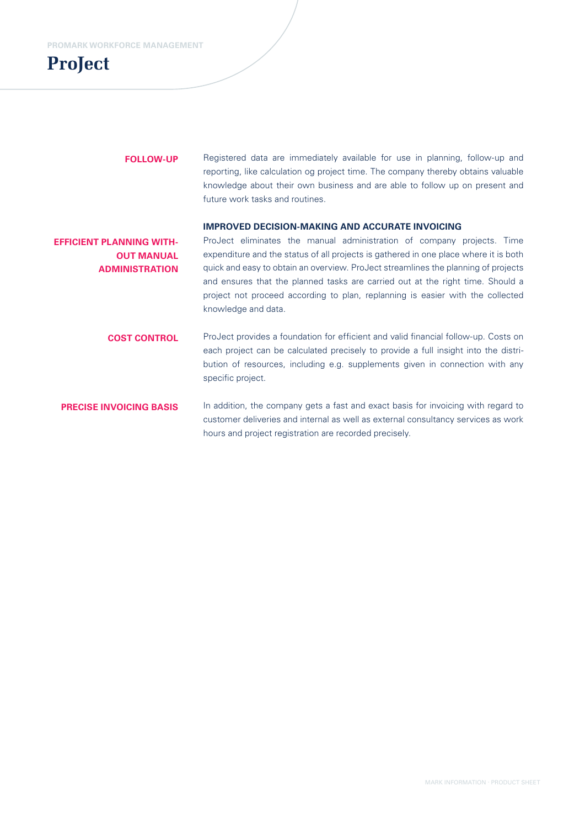# **ProJect**

### **FOLLOW-UP**

Registered data are immediately available for use in planning, follow-up and reporting, like calculation og project time. The company thereby obtains valuable knowledge about their own business and are able to follow up on present and future work tasks and routines.

### **IMPROVED DECISION-MAKING AND ACCURATE INVOICING**

ProJect eliminates the manual administration of company projects. Time expenditure and the status of all projects is gathered in one place where it is both quick and easy to obtain an overview. ProJect streamlines the planning of projects and ensures that the planned tasks are carried out at the right time. Should a project not proceed according to plan, replanning is easier with the collected knowledge and data. **EFFICIENT PLANNING WITH-OUT MANUAL ADMINISTRATION** 

ProJect provides a foundation for efficient and valid financial follow-up. Costs on each project can be calculated precisely to provide a full insight into the distribution of resources, including e.g. supplements given in connection with any specific project. **COST CONTROL**

In addition, the company gets a fast and exact basis for invoicing with regard to customer deliveries and internal as well as external consultancy services as work hours and project registration are recorded precisely. **PRECISE INVOICING BASIS**